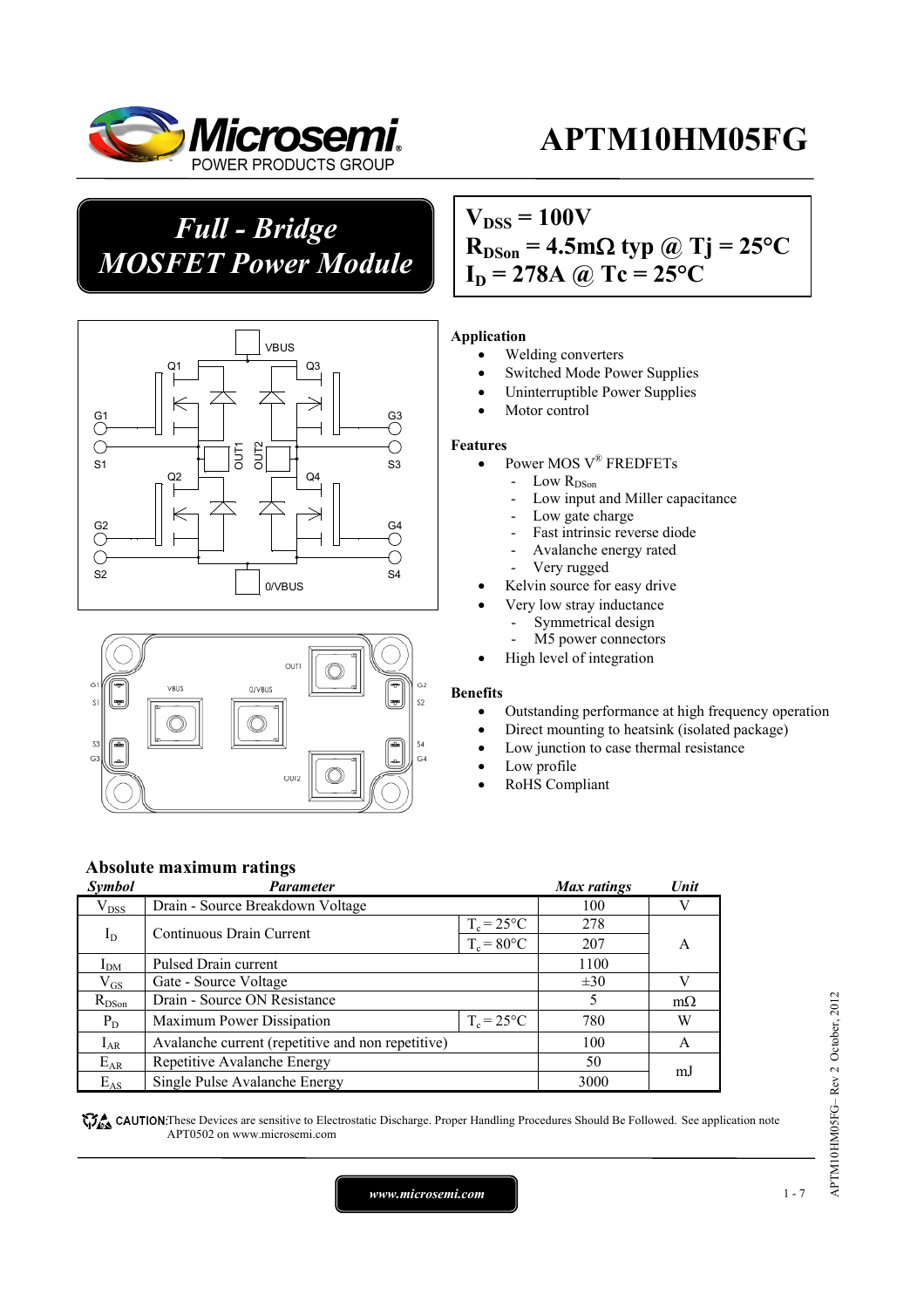

*Full - Bridge MOSFET Power Module*





### $V_{DSS} = 100V$  $R_{DSon} = 4.5 \text{m}\Omega \text{ typ } \textcircled{a}$  Tj = 25<sup>o</sup>C  $I_D = 278A \omega$  Tc = 25°C

#### **Application**

- Welding converters
- Switched Mode Power Supplies
- Uninterruptible Power Supplies
- Motor control

#### **Features**

- Power MOS V® FREDFETs
	- Low R<sub>DSon</sub>
		- Low input and Miller capacitance
	- Low gate charge
	- Fast intrinsic reverse diode
	- Avalanche energy rated
	- Very rugged
- Kelvin source for easy drive
	- Very low stray inductance
	- Symmetrical design
	- M5 power connectors
- High level of integration

#### **Benefits**

- Outstanding performance at high frequency operation
- Direct mounting to heatsink (isolated package)
- Low junction to case thermal resistance
- Low profile
- RoHS Compliant

### **Absolute maximum ratings**

| Symbol       | Parameter                                         |               | Max ratings | Unit      |
|--------------|---------------------------------------------------|---------------|-------------|-----------|
| $V_{DSS}$    | Drain - Source Breakdown Voltage                  | 100           | V           |           |
| $I_D$        | Continuous Drain Current                          | $T_c = 25$ °C | 278         |           |
|              |                                                   | $T_c = 80$ °C | 207         | A         |
| $I_{DM}$     | Pulsed Drain current                              | 1100          |             |           |
| $\rm V_{GS}$ | Gate - Source Voltage                             |               | $\pm 30$    |           |
| $R_{DSon}$   | Drain - Source ON Resistance                      |               | 5           | $m\Omega$ |
| $P_D$        | $T_c = 25^{\circ}C$<br>Maximum Power Dissipation  |               | 780         | W         |
| $I_{AR}$     | Avalanche current (repetitive and non repetitive) |               | 100         | A         |
| $E_{AR}$     | Repetitive Avalanche Energy                       |               | 50          | mJ        |
| $E_{AS}$     | Single Pulse Avalanche Energy                     |               | 3000        |           |

**These** CAUTION: These Devices are sensitive to Electrostatic Discharge. Proper Handling Procedures Should Be Followed. See application note APT0502 on www.microsemi.com

*www.microsemi.com* 1-7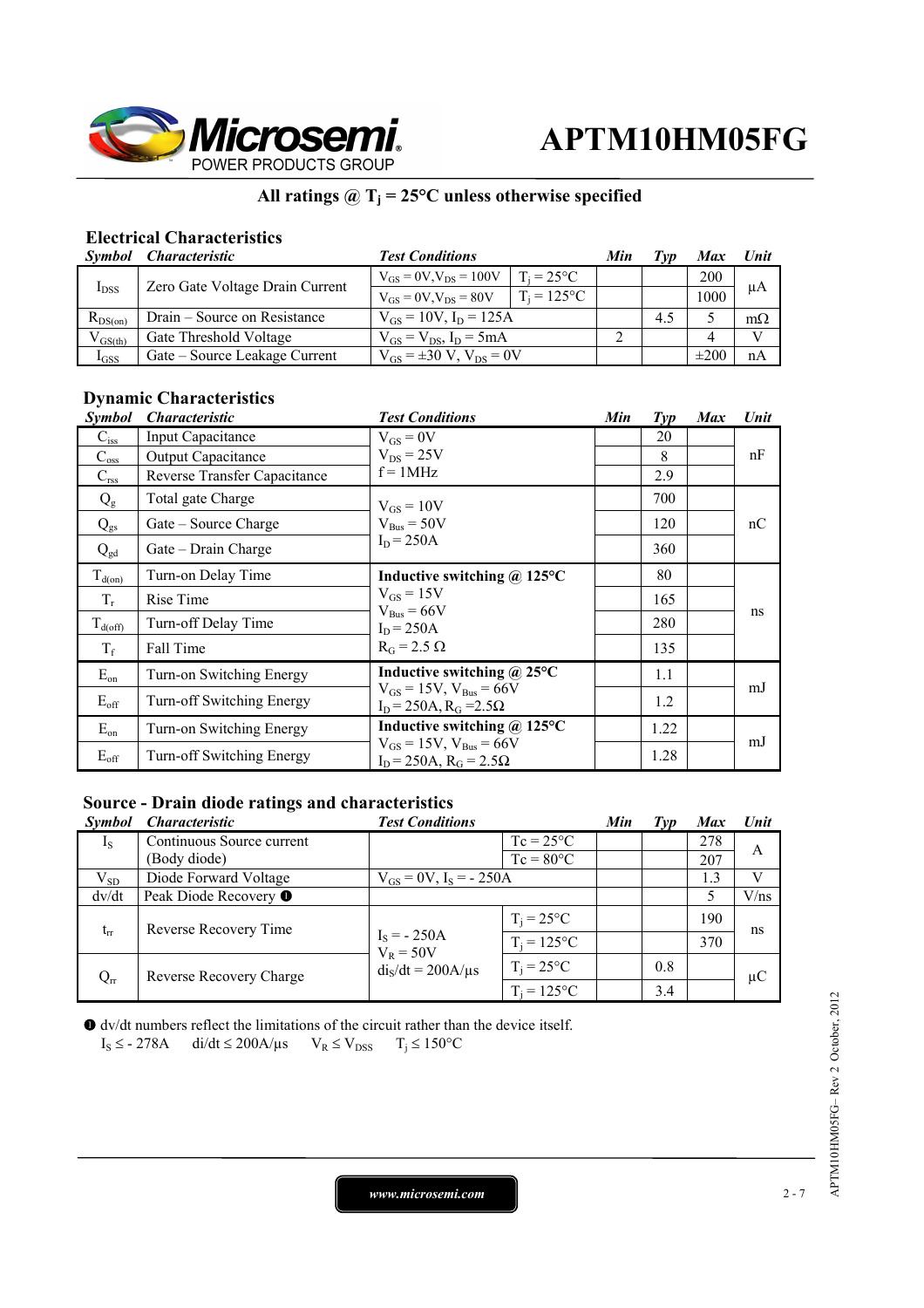

### **All ratings @ Tj = 25°C unless otherwise specified**

### **Electrical Characteristics**

| Symbol       | <i><b>Characteristic</b></i>    | <b>Test Conditions</b>              |                     | Min | Tvp | <b>Max</b> | Unit      |
|--------------|---------------------------------|-------------------------------------|---------------------|-----|-----|------------|-----------|
| $I_{DSS}$    | Zero Gate Voltage Drain Current | $V_{GS} = 0V$ , $V_{DS} = 100V$     | $T_i = 25^{\circ}C$ |     |     | 200        | μA        |
|              |                                 | $V_{GS} = 0V$ , $V_{DS} = 80V$      | $T_i = 125$ °C      |     |     | 1000       |           |
| $R_{DS(on)}$ | Drain – Source on Resistance    | $V_{GS} = 10V$ , $I_D = 125A$       |                     |     | 4.5 |            | $m\Omega$ |
| $V_{GS(th)}$ | Gate Threshold Voltage          | $V_{GS} = V_{DS}$ , $I_D = 5mA$     |                     |     |     |            |           |
| $I_{GSS}$    | Gate – Source Leakage Current   | $V_{GS} = \pm 30 V$ , $V_{DS} = 0V$ |                     |     |     | $\pm 200$  | nA        |

### **Dynamic Characteristics**

| <i>Symbol</i>       | <i><b>Characteristic</b></i> | <b>Test Conditions</b>                                               | Min | $\mathcal{I}yp$ | <b>Max</b> | Unit |
|---------------------|------------------------------|----------------------------------------------------------------------|-----|-----------------|------------|------|
| $C_{iss}$           | <b>Input Capacitance</b>     | $V_{GS} = 0V$                                                        |     | 20              |            |      |
| $C_{\rm oss}$       | Output Capacitance           | $V_{DS}$ = 25V                                                       |     | 8               |            | nF   |
| $C_{\rm rss}$       | Reverse Transfer Capacitance | $f = 1MHz$                                                           |     | 2.9             |            |      |
| $Q_{\rm g}$         | Total gate Charge            | $V_{GS} = 10V$                                                       |     | 700             |            |      |
| $Q_{gs}$            | Gate – Source Charge         | $V_{\text{Bus}} = 50V$                                               |     | 120             |            | nC   |
| $Q_{gd}$            | Gate - Drain Charge          | $I_D = 250A$                                                         |     | 360             |            |      |
| $T_{d(0n)}$         | Turn-on Delay Time           | Inductive switching $\omega$ 125°C                                   |     | 80              |            |      |
| $T_r$               | Rise Time                    | $V_{GS} = 15V$<br>$V_{\text{Bus}} = 66V$                             |     | 165             |            |      |
| $T_{d(\text{off})}$ | Turn-off Delay Time          | $I_D = 250A$<br>$R_G$ = 2.5 $\Omega$                                 |     | 280             |            | ns   |
| $T_f$               | Fall Time                    |                                                                      |     | 135             |            |      |
| $E_{on}$            | Turn-on Switching Energy     | Inductive switching $\omega$ 25°C                                    |     | 1.1             |            |      |
| $E_{\text{off}}$    | Turn-off Switching Energy    | $V_{GS} = 15V$ , $V_{Bus} = 66V$<br>$I_D = 250A$ , $R_G = 2.5\Omega$ |     | 1.2             |            | mJ   |
| $E_{on}$            | Turn-on Switching Energy     | Inductive switching @ 125°C                                          |     | 1.22            |            |      |
| $E_{\text{off}}$    | Turn-off Switching Energy    | $V_{GS} = 15V$ , $V_{Bus} = 66V$<br>$I_D = 250A$ , $R_G = 2.5\Omega$ |     | 1.28            |            | mJ   |

### **Source - Drain diode ratings and characteristics**

| <i>Symbol</i> | <i><b>Characteristic</b></i> | <b>Test Conditions</b>        |                     | Min | Tvp | <b>Max</b> | Unit           |
|---------------|------------------------------|-------------------------------|---------------------|-----|-----|------------|----------------|
| $I_{S}$       | Continuous Source current    |                               | $Tc = 25^{\circ}C$  |     |     | 278        | A              |
|               | (Body diode)                 |                               | $T_c = 80^{\circ}C$ |     |     | 207        |                |
| $V_{SD}$      | Diode Forward Voltage        | $V_{GS} = 0V$ , $I_S = -250A$ |                     |     |     | 1.3        | $\overline{V}$ |
| dv/dt         | Peak Diode Recovery ●        |                               |                     |     |     |            | V/ns           |
| $t_{rr}$      | Reverse Recovery Time        |                               | $T_i = 25^{\circ}C$ |     |     | 190        | ns             |
|               |                              | $I_S = -250A$<br>$V_R = 50V$  | $T_i = 125$ °C      |     |     | 370        |                |
| $Q_{rr}$      | Reverse Recovery Charge      | $diS/dt = 200A/\mu s$         | $T_i = 25$ °C       |     | 0.8 |            | $\mu C$        |
|               |                              |                               | $T_i = 125$ °C      |     | 3.4 |            |                |

 dv/dt numbers reflect the limitations of the circuit rather than the device itself.  $I_S \leq$  - 278A di/dt  $\leq$  200A/ $\mu$ s  $V_R \leq V_{DSS}$   $T_i \leq 150^{\circ}C$ 

*www.microsemi.com* 2-7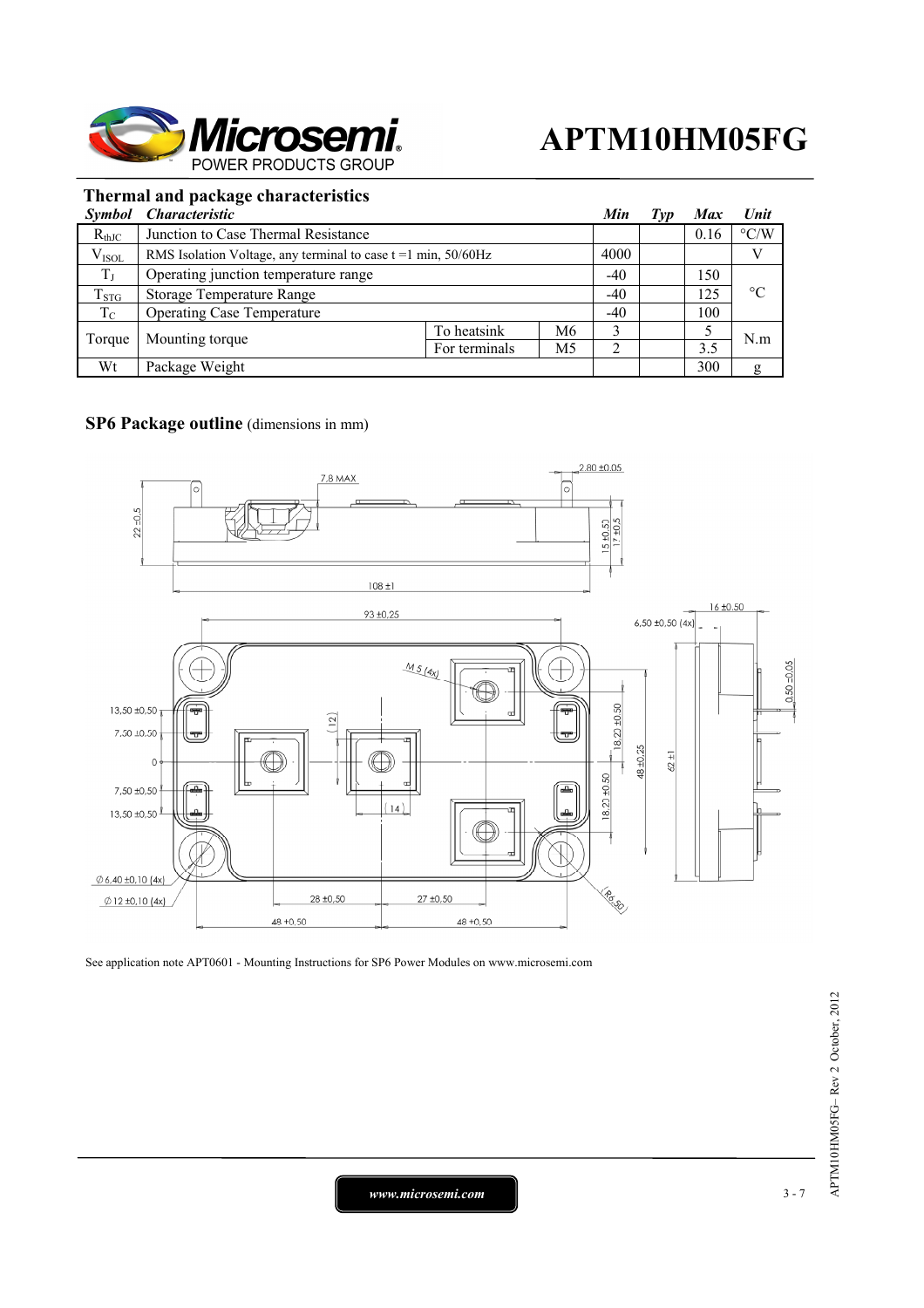

### **Thermal and package characteristics**

| <i>Symbol</i> | <i><b>Characteristic</b></i>                                        |               |    | Min   | Typ | <b>Max</b> | Unit               |
|---------------|---------------------------------------------------------------------|---------------|----|-------|-----|------------|--------------------|
| $R_{thJC}$    | Junction to Case Thermal Resistance                                 |               |    |       |     | 0.16       | $\rm ^{\circ} C/W$ |
| $V_{ISOL}$    | RMS Isolation Voltage, any terminal to case $t = 1$ min, $50/60$ Hz |               |    | 4000  |     |            | V                  |
| $T_{\rm J}$   | Operating junction temperature range                                |               |    | $-40$ |     | 150        |                    |
| $T_{STG}$     | Storage Temperature Range                                           |               |    | $-40$ |     | 125        | $^{\circ}C$        |
| $T_{\rm C}$   | <b>Operating Case Temperature</b>                                   |               |    | $-40$ |     | 100        |                    |
| Torque        | Mounting torque                                                     | To heatsink   | M6 |       |     |            | N.m                |
|               |                                                                     | For terminals | M5 |       |     | 3.5        |                    |
| Wt            | Package Weight                                                      |               |    |       |     | 300        | g                  |

### **SP6 Package outline** (dimensions in mm)



See application note APT0601 - Mounting Instructions for SP6 Power Modules on www.microsemi.com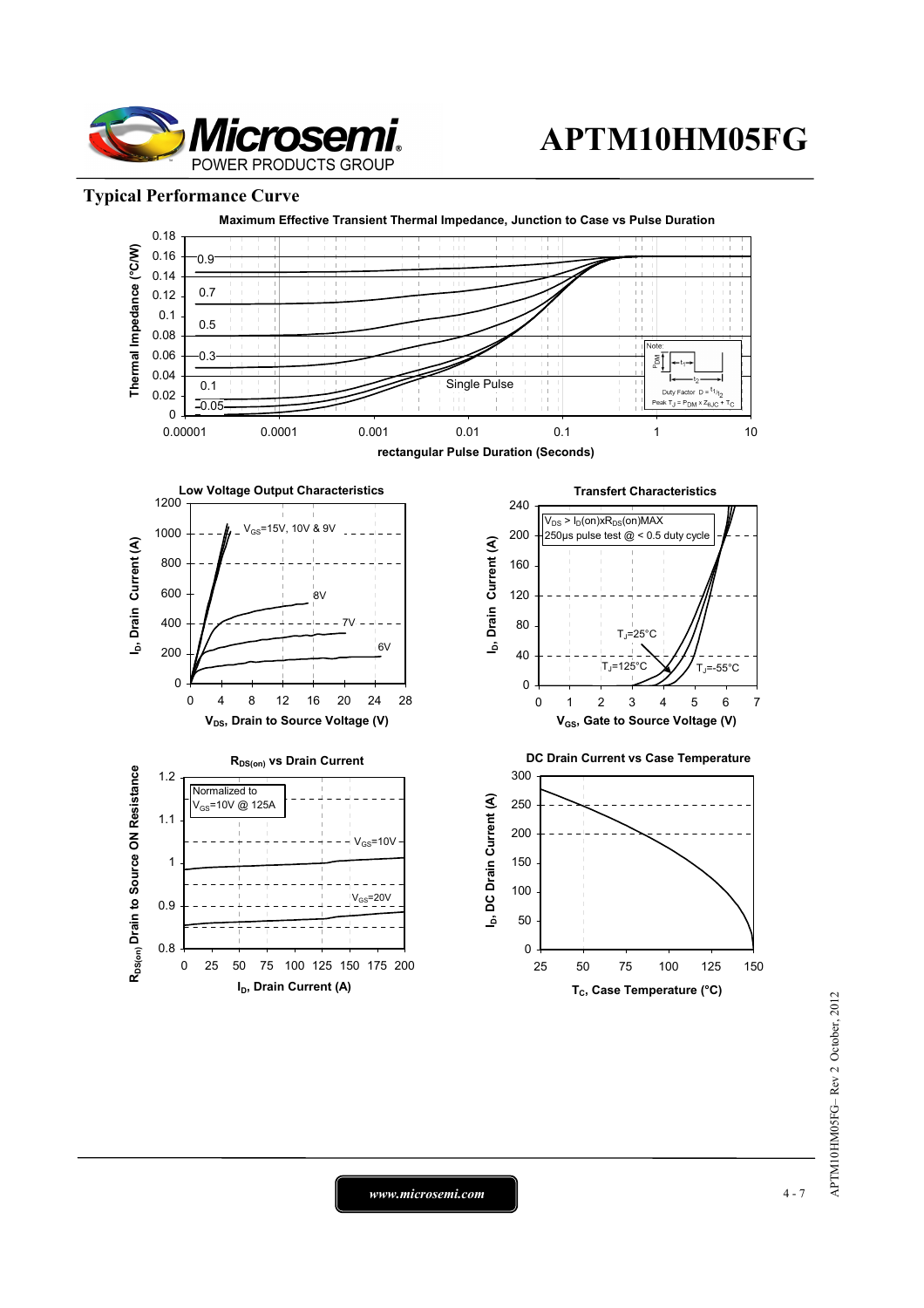

### **Typical Performance Curve**



*www.microsemi.com* 4-7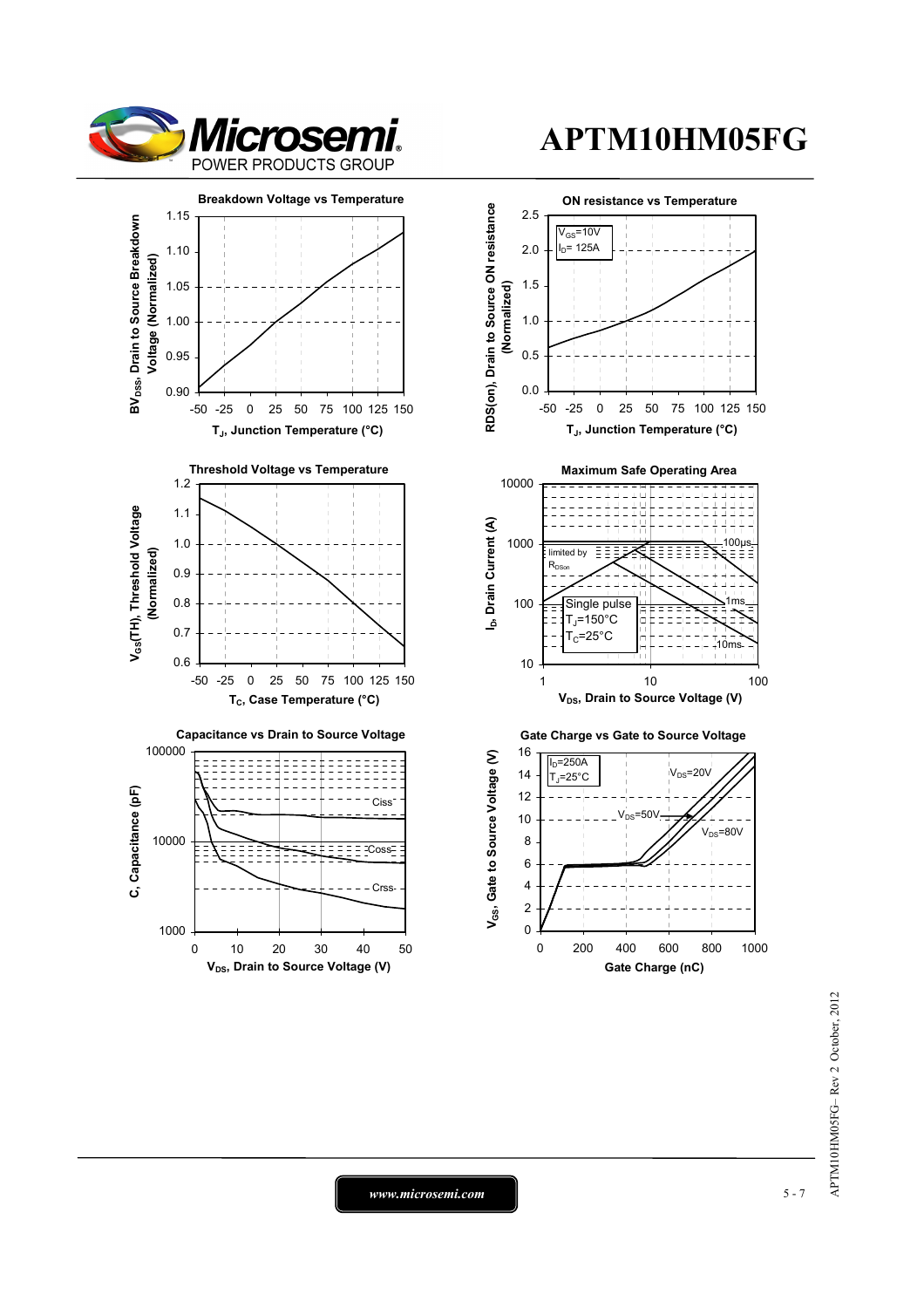

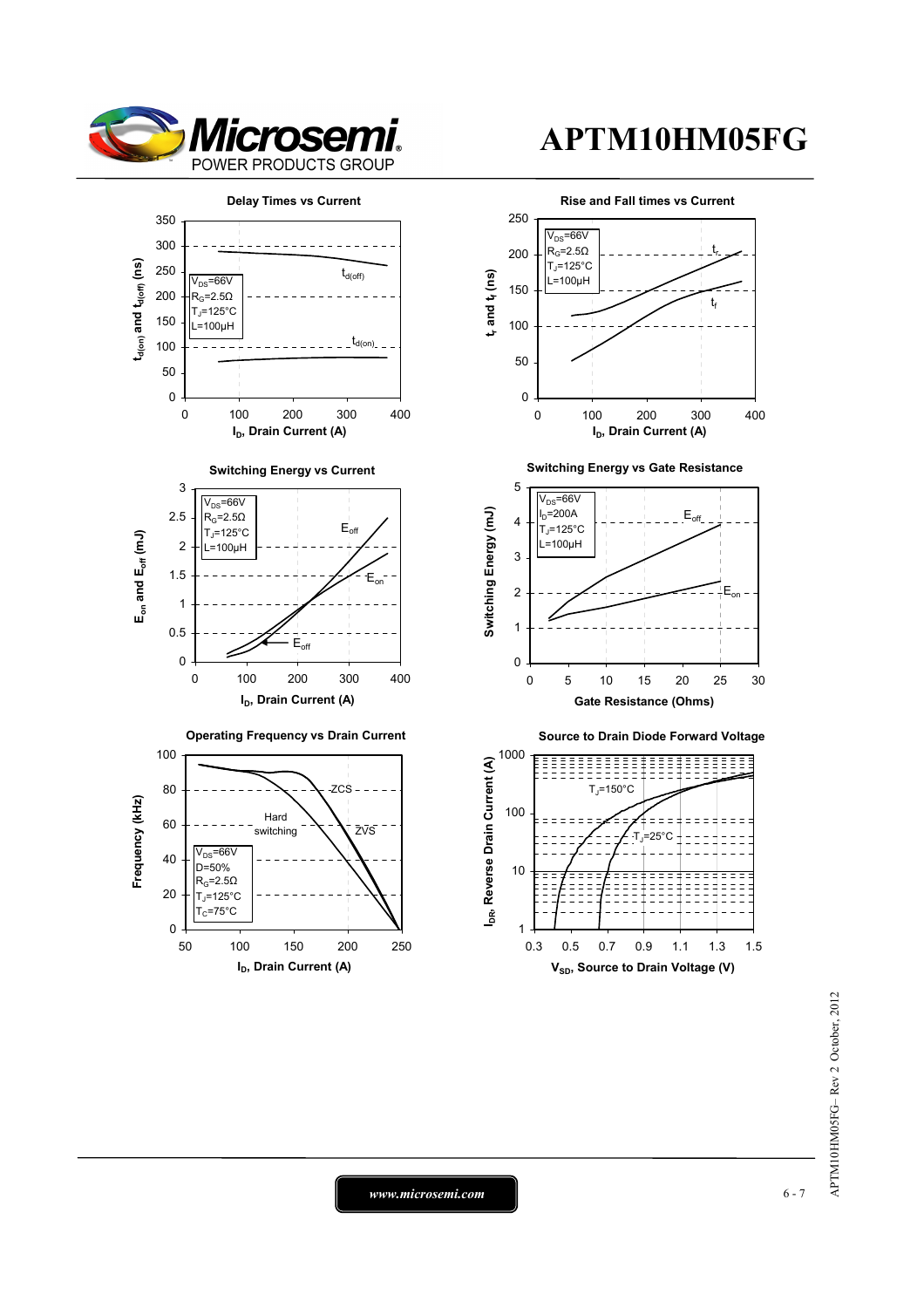



APTM10HM05FG-Rev 2 October, 2012 APTM10HM05FG– Rev 2 October, 2012

*www.microsemi.com* **6-7**